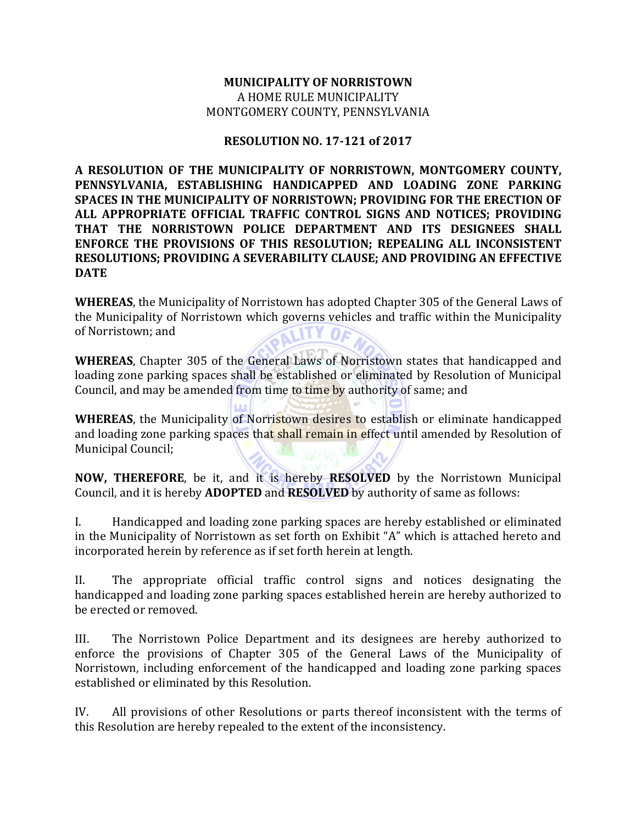## **MUNICIPALITY OF NORRISTOWN**  A HOME RULE MUNICIPALITY MONTGOMERY COUNTY, PENNSYLVANIA

## **RESOLUTION NO. 17-121 of 2017**

**A RESOLUTION OF THE MUNICIPALITY OF NORRISTOWN, MONTGOMERY COUNTY, PENNSYLVANIA, ESTABLISHING HANDICAPPED AND LOADING ZONE PARKING SPACES IN THE MUNICIPALITY OF NORRISTOWN; PROVIDING FOR THE ERECTION OF ALL APPROPRIATE OFFICIAL TRAFFIC CONTROL SIGNS AND NOTICES; PROVIDING THAT THE NORRISTOWN POLICE DEPARTMENT AND ITS DESIGNEES SHALL ENFORCE THE PROVISIONS OF THIS RESOLUTION; REPEALING ALL INCONSISTENT RESOLUTIONS; PROVIDING A SEVERABILITY CLAUSE; AND PROVIDING AN EFFECTIVE DATE** 

**WHEREAS**, the Municipality of Norristown has adopted Chapter 305 of the General Laws of the Municipality of Norristown which governs vehicles and traffic within the Municipality of Norristown; and

**WHEREAS**, Chapter 305 of the General Laws of Norristown states that handicapped and loading zone parking spaces shall be established or eliminated by Resolution of Municipal Council, and may be amended from time to time by authority of same; and

**WHEREAS**, the Municipality of Norristown desires to establish or eliminate handicapped and loading zone parking spaces that shall remain in effect until amended by Resolution of Municipal Council;

**NOW, THEREFORE**, be it, and it is hereby **RESOLVED** by the Norristown Municipal Council, and it is hereby **ADOPTED** and **RESOLVED** by authority of same as follows:

I. Handicapped and loading zone parking spaces are hereby established or eliminated in the Municipality of Norristown as set forth on Exhibit "A" which is attached hereto and incorporated herein by reference as if set forth herein at length.

II. The appropriate official traffic control signs and notices designating the handicapped and loading zone parking spaces established herein are hereby authorized to be erected or removed.

III. The Norristown Police Department and its designees are hereby authorized to enforce the provisions of Chapter 305 of the General Laws of the Municipality of Norristown, including enforcement of the handicapped and loading zone parking spaces established or eliminated by this Resolution.

IV. All provisions of other Resolutions or parts thereof inconsistent with the terms of this Resolution are hereby repealed to the extent of the inconsistency.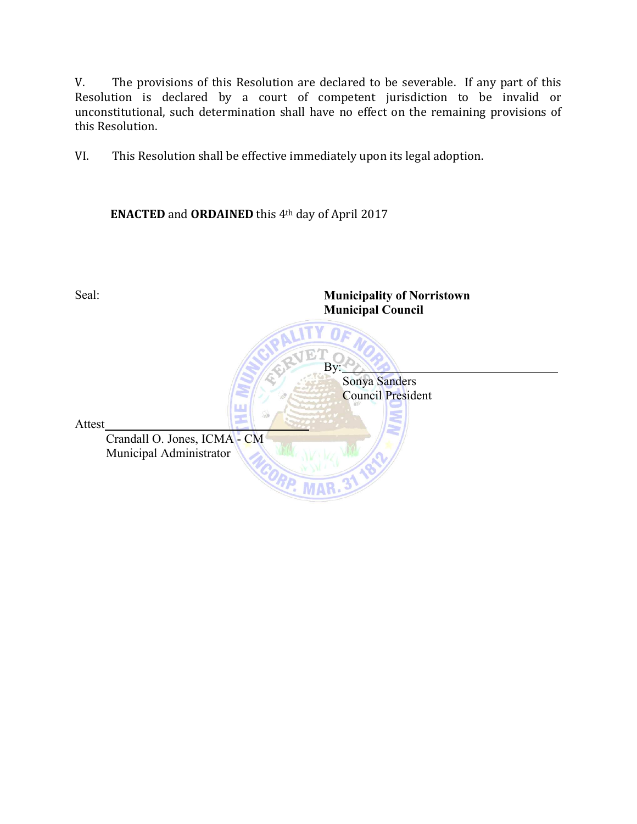V. The provisions of this Resolution are declared to be severable. If any part of this Resolution is declared by a court of competent jurisdiction to be invalid or unconstitutional, such determination shall have no effect on the remaining provisions of this Resolution.

VI. This Resolution shall be effective immediately upon its legal adoption.

**ENACTED** and **ORDAINED** this 4th day of April 2017

Seal: **Municipality of Norristown Municipal Council** EЛ By: Sonya Sanders Council President Attest Crandall O. Jones, ICMA - CM Municipal Administrator **MAR**